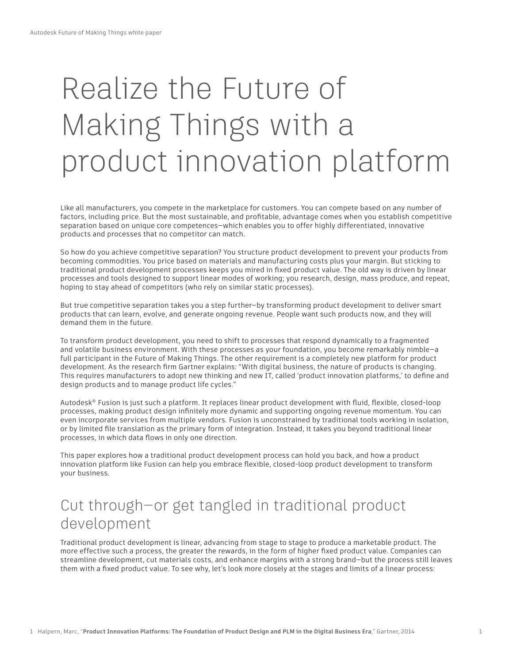# Realize the Future of Making Things with a product innovation platform

Like all manufacturers, you compete in the marketplace for customers. You can compete based on any number of factors, including price. But the most sustainable, and profitable, advantage comes when you establish competitive separation based on unique core competences—which enables you to offer highly differentiated, innovative products and processes that no competitor can match.

So how do you achieve competitive separation? You structure product development to prevent your products from becoming commodities. You price based on materials and manufacturing costs plus your margin. But sticking to traditional product development processes keeps you mired in fixed product value. The old way is driven by linear processes and tools designed to support linear modes of working; you research, design, mass produce, and repeat, hoping to stay ahead of competitors (who rely on similar static processes).

But true competitive separation takes you a step further—by transforming product development to deliver smart products that can learn, evolve, and generate ongoing revenue. People want such products now, and they will demand them in the future.

To transform product development, you need to shift to processes that respond dynamically to a fragmented and volatile business environment. With these processes as your foundation, you become remarkably nimble—a full participant in the Future of Making Things. The other requirement is a completely new platform for product development. As the research firm Gartner explains: "With digital business, the nature of products is changing. This requires manufacturers to adopt new thinking and new IT, called 'product innovation platforms,' to define and design products and to manage product life cycles."

Autodesk® Fusion is just such a platform. It replaces linear product development with fluid, flexible, closed-loop processes, making product design infinitely more dynamic and supporting ongoing revenue momentum. You can even incorporate services from multiple vendors. Fusion is unconstrained by traditional tools working in isolation, or by limited file translation as the primary form of integration. Instead, it takes you beyond traditional linear processes, in which data flows in only one direction.

This paper explores how a traditional product development process can hold you back, and how a product innovation platform like Fusion can help you embrace flexible, closed-loop product development to transform your business.

## Cut through—or get tangled in traditional product development

Traditional product development is linear, advancing from stage to stage to produce a marketable product. The more effective such a process, the greater the rewards, in the form of higher fixed product value. Companies can streamline development, cut materials costs, and enhance margins with a strong brand—but the process still leaves them with a fixed product value. To see why, let's look more closely at the stages and limits of a linear process: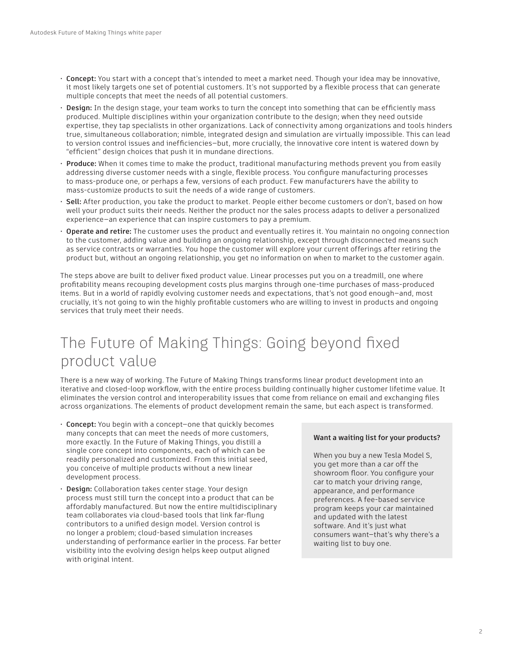- **Concept:** You start with a concept that's intended to meet a market need. Though your idea may be innovative, it most likely targets one set of potential customers. It's not supported by a flexible process that can generate multiple concepts that meet the needs of all potential customers.
- **Design:** In the design stage, your team works to turn the concept into something that can be efficiently mass produced. Multiple disciplines within your organization contribute to the design; when they need outside expertise, they tap specialists in other organizations. Lack of connectivity among organizations and tools hinders true, simultaneous collaboration; nimble, integrated design and simulation are virtually impossible. This can lead to version control issues and inefficiencies—but, more crucially, the innovative core intent is watered down by "efficient" design choices that push it in mundane directions.
- **Produce:** When it comes time to make the product, traditional manufacturing methods prevent you from easily addressing diverse customer needs with a single, flexible process. You configure manufacturing processes to mass-produce one, or perhaps a few, versions of each product. Few manufacturers have the ability to mass-customize products to suit the needs of a wide range of customers.
- **Sell:** After production, you take the product to market. People either become customers or don't, based on how well your product suits their needs. Neither the product nor the sales process adapts to deliver a personalized experience—an experience that can inspire customers to pay a premium.
- **Operate and retire:** The customer uses the product and eventually retires it. You maintain no ongoing connection to the customer, adding value and building an ongoing relationship, except through disconnected means such as service contracts or warranties. You hope the customer will explore your current offerings after retiring the product but, without an ongoing relationship, you get no information on when to market to the customer again.

The steps above are built to deliver fixed product value. Linear processes put you on a treadmill, one where profitability means recouping development costs plus margins through one-time purchases of mass-produced items. But in a world of rapidly evolving customer needs and expectations, that's not good enough—and, most crucially, it's not going to win the highly profitable customers who are willing to invest in products and ongoing services that truly meet their needs.

### The Future of Making Things: Going beyond fixed product value

There is a new way of working. The Future of Making Things transforms linear product development into an iterative and closed-loop workflow, with the entire process building continually higher customer lifetime value. It eliminates the version control and interoperability issues that come from reliance on email and exchanging files across organizations. The elements of product development remain the same, but each aspect is transformed.

- **Concept:** You begin with a concept—one that quickly becomes many concepts that can meet the needs of more customers, more exactly. In the Future of Making Things, you distill a single core concept into components, each of which can be readily personalized and customized. From this initial seed, you conceive of multiple products without a new linear development process.
- **Design:** Collaboration takes center stage. Your design process must still turn the concept into a product that can be affordably manufactured. But now the entire multidisciplinary team collaborates via cloud-based tools that link far-flung contributors to a unified design model. Version control is no longer a problem; cloud-based simulation increases understanding of performance earlier in the process. Far better visibility into the evolving design helps keep output aligned with original intent.

#### **Want a waiting list for your products?**

When you buy a new Tesla Model S, you get more than a car off the showroom floor. You configure your car to match your driving range, appearance, and performance preferences. A fee-based service program keeps your car maintained and updated with the latest software. And it's just what consumers want—that's why there's a waiting list to buy one.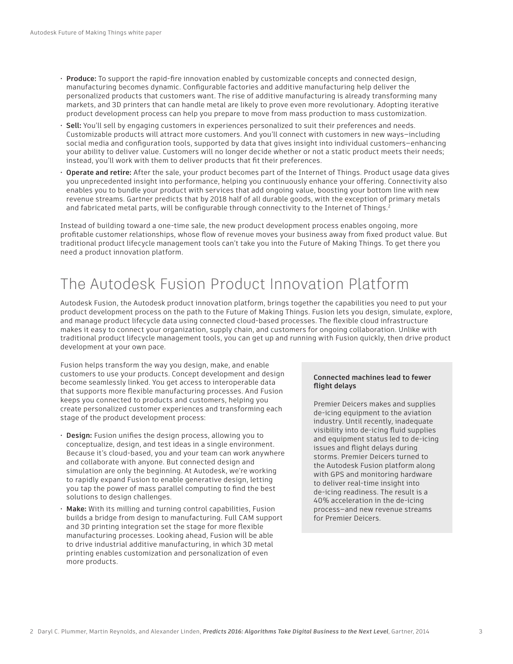- **Produce:** To support the rapid-fire innovation enabled by customizable concepts and connected design, manufacturing becomes dynamic. Configurable factories and additive manufacturing help deliver the personalized products that customers want. The rise of additive manufacturing is already transforming many markets, and 3D printers that can handle metal are likely to prove even more revolutionary. Adopting iterative product development process can help you prepare to move from mass production to mass customization.
- **Sell:** You'll sell by engaging customers in experiences personalized to suit their preferences and needs. Customizable products will attract more customers. And you'll connect with customers in new ways—including social media and configuration tools, supported by data that gives insight into individual customers—enhancing your ability to deliver value. Customers will no longer decide whether or not a static product meets their needs; instead, you'll work with them to deliver products that fit their preferences.
- **Operate and retire:** After the sale, your product becomes part of the Internet of Things. Product usage data gives you unprecedented insight into performance, helping you continuously enhance your offering. Connectivity also enables you to bundle your product with services that add ongoing value, boosting your bottom line with new revenue streams. Gartner predicts that by 2018 half of all durable goods, with the exception of primary metals and fabricated metal parts, will be configurable through connectivity to the Internet of Things.<sup>2</sup>

Instead of building toward a one-time sale, the new product development process enables ongoing, more profitable customer relationships, whose flow of revenue moves your business away from fixed product value. But traditional product lifecycle management tools can't take you into the Future of Making Things. To get there you need a product innovation platform.

# The Autodesk Fusion Product Innovation Platform

Autodesk Fusion, the Autodesk product innovation platform, brings together the capabilities you need to put your product development process on the path to the Future of Making Things. Fusion lets you design, simulate, explore, and manage product lifecycle data using connected cloud-based processes. The flexible cloud infrastructure makes it easy to connect your organization, supply chain, and customers for ongoing collaboration. Unlike with traditional product lifecycle management tools, you can get up and running with Fusion quickly, then drive product development at your own pace.

Fusion helps transform the way you design, make, and enable customers to use your products. Concept development and design become seamlessly linked. You get access to interoperable data that supports more flexible manufacturing processes. And Fusion keeps you connected to products and customers, helping you create personalized customer experiences and transforming each stage of the product development process:

- **Design:** Fusion unifies the design process, allowing you to conceptualize, design, and test ideas in a single environment. Because it's cloud-based, you and your team can work anywhere and collaborate with anyone. But connected design and simulation are only the beginning. At Autodesk, we're working to rapidly expand Fusion to enable generative design, letting you tap the power of mass parallel computing to find the best solutions to design challenges.
- **Make:** With its milling and turning control capabilities, Fusion builds a bridge from design to manufacturing. Full CAM support and 3D printing integration set the stage for more flexible manufacturing processes. Looking ahead, Fusion will be able to drive industrial additive manufacturing, in which 3D metal printing enables customization and personalization of even more products.

#### **Connected machines lead to fewer flight delays**

Premier Deicers makes and supplies de-icing equipment to the aviation industry. Until recently, inadequate visibility into de-icing fluid supplies and equipment status led to de-icing issues and flight delays during storms. Premier Deicers turned to the Autodesk Fusion platform along with GPS and monitoring hardware to deliver real-time insight into de-icing readiness. The result is a 40% acceleration in the de-icing process—and new revenue streams for Premier Deicers.